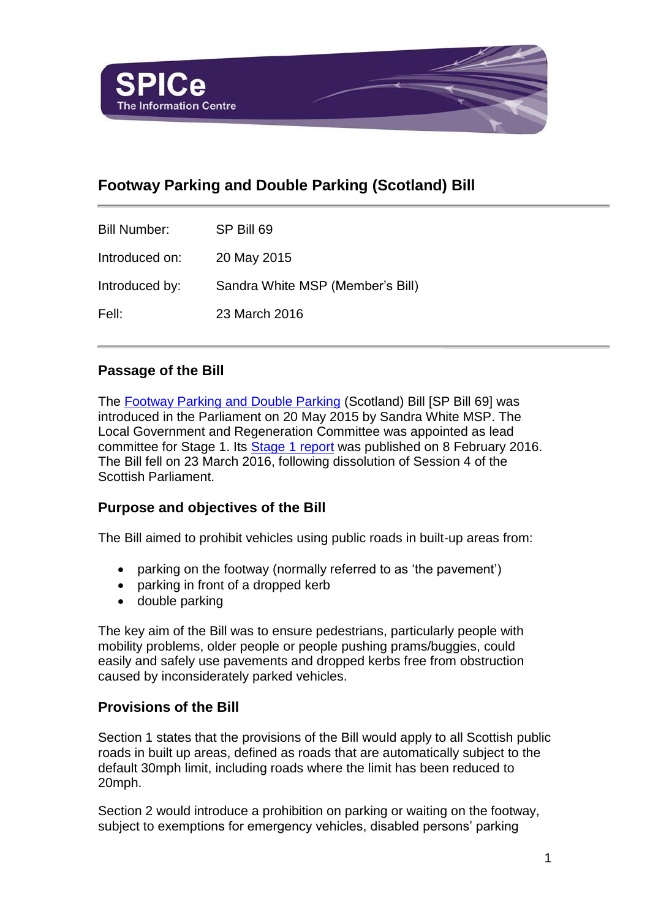

# **Footway Parking and Double Parking (Scotland) Bill**

| <b>Bill Number:</b> | SP Bill 69                       |
|---------------------|----------------------------------|
| Introduced on:      | 20 May 2015                      |
| Introduced by:      | Sandra White MSP (Member's Bill) |
| Fell:               | 23 March 2016                    |

## **Passage of the Bill**

The [Footway Parking and Double Parking](http://www.scottish.parliament.uk/S4_Bills/Footway%20Parking%20and%20Double%20Parking%20(Scotland)%20Bill/b69s4-introd.pdf) (Scotland) Bill [SP Bill 69] was introduced in the Parliament on 20 May 2015 by Sandra White MSP. The Local Government and Regeneration Committee was appointed as lead committee for Stage 1. Its [Stage 1 report](http://www.scottish.parliament.uk/parliamentarybusiness/CurrentCommittees/96529.aspx) was published on 8 February 2016. The Bill fell on 23 March 2016, following dissolution of Session 4 of the Scottish Parliament.

## **Purpose and objectives of the Bill**

The Bill aimed to prohibit vehicles using public roads in built-up areas from:

- parking on the footway (normally referred to as 'the pavement')
- parking in front of a dropped kerb
- double parking

The key aim of the Bill was to ensure pedestrians, particularly people with mobility problems, older people or people pushing prams/buggies, could easily and safely use pavements and dropped kerbs free from obstruction caused by inconsiderately parked vehicles.

## **Provisions of the Bill**

Section 1 states that the provisions of the Bill would apply to all Scottish public roads in built up areas, defined as roads that are automatically subject to the default 30mph limit, including roads where the limit has been reduced to 20mph.

Section 2 would introduce a prohibition on parking or waiting on the footway, subject to exemptions for emergency vehicles, disabled persons' parking